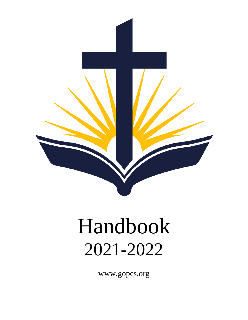

# Handbook 2021-2022

www.gopcs.org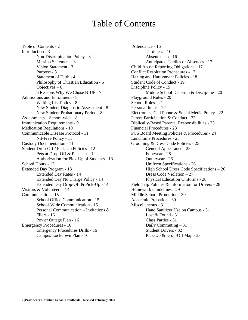# Table of Contents

Table of Contents - 2 Introduction - 3 Non-Discrimination Policy - 3 Mission Statement - 3 Vision Statement - 3 Purpose - 3 Statement of Faith - 4 Philosophy of Christian Education - 5 Objectives  $-6$ 6 Reasons Why We Chose BJUP - 7 Admissions and Enrollment - 8 Waiting List Policy - 8 New Student Diagnostic Assessment - 8 New Student Probationary Period - 8 Assessments – School-wide - 8 Immunization Requirements - 9 Medication Regulations - 10 Communicable Disease Protocol - 11 Nit-Free Policy - 11 Custody Documentation - 11 Student Drop-Off / Pick-Up Policies - 12 Pets at Drop-Off  $& Pick-Up-12$ Authorization for Pick-Up of Students - 13 School Hours - 13 Extended Day Program - 13 Extended Day Rates - 14 Extended Day No Charge Policy - 14 Extended Day Drop-Off & Pick-Up - 14 Visitors & Volunteers - 14 Communication - 15 School Office Communication - 15 School-Wide Communication - 15 Personal Communication – Invitations & Fliers - 16 Power Outage Plan - 16 Emergency Procedures - 16 Emergency Procedures Drills - 16 Campus Lockdown Plan - 16

Attendance - 16 Tardiness - 16 Absenteeism - 16 Anticipated Tardies or Absences - 17 Child Abuse Reporting Obligations - 17 Conflict Resolution Procedures - 17 Hazing and Harassment Policies - 18 Student Code of Conduct - 19 Discipline Policy - 19 Middle School Decorum & Discipline - 20 Playground Rules - 20 School Rules - 21 Personal Items - 22 Electronics, Cell Phone & Social Media Policy - 22 Parent Participation & Conduct - 22 Biblically-Based Parental Responsibilities - 23 Financial Procedures - 23 PCS Board Meeting Policies & Procedures - 24 Lunchtime Procedures - 25 Grooming & Dress Code Policies - 25 General Appearance - 25 Footwear - 26 Outerwear - 26 Uniform Specifications - 26 High School Dress Code Specifications – 26 Dress Code Violation – 27 Physical Education Uniforms - 28 Field Trip Policies & Information for Drivers - 28 Homework Guidelines - 29 Middle School Promotion - 30 Academic Probation - 30 Miscellaneous - 31 Hand Sanitizer Use on Campus - 31 Lost & Found - 31 Class Parties - 31 Daily Commuting – 31 Student Drivers - 32 Pick-Up & Drop-Off Map - 33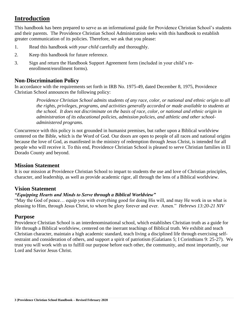# **Introduction**

This handbook has been prepared to serve as an informational guide for Providence Christian School's students and their parents. The Providence Christian School Administration seeks with this handbook to establish greater communication of its policies. Therefore, we ask that you please:

- 1. Read this handbook *with your child* carefully and thoroughly.
- 2. Keep this handbook for future reference.
- 3. Sign and return the Handbook Support Agreement form (included in your child's reenrollment/enrollment forms).

#### **Non-Discrimination Policy**

In accordance with the requirements set forth in IRB No. 1975-49, dated December 8, 1975, Providence Christian School announces the following policy:

> *Providence Christian School admits students of any race, color, or national and ethnic origin to all the rights, privileges, programs, and activities generally accorded or made available to students at the school. It does not discriminate on the basis of race, color, or national and ethnic origin in administration of its educational policies, admission policies, and athletic and other schooladministered programs.*

Concurrence with this policy is not grounded in humanist premises, but rather upon a Biblical worldview centered on the Bible, which is the Word of God. Our doors are open to people of all races and national origins because the love of God, as manifested in the ministry of redemption through Jesus Christ, is intended for all people who will receive it. To this end, Providence Christian School is pleased to serve Christian families in El Dorado County and beyond.

#### **Mission Statement**

It is our mission at Providence Christian School to impart to students the use and love of Christian principles, character, and leadership, as well as provide academic rigor, all through the lens of a Biblical worldview.

#### **Vision Statement**

#### *"Equipping Hearts and Minds to Serve through a Biblical Worldview"*

"May the God of peace… equip you with everything good for doing His will, and may He work in us what is pleasing to Him, through Jesus Christ, to whom be glory forever and ever. Amen." *Hebrews 13:20-21 NIV*

#### **Purpose**

Providence Christian School is an interdenominational school, which establishes Christian truth as a guide for life through a Biblical worldview, centered on the inerrant teachings of Biblical truth. We exhibit and teach Christian character, maintain a high academic standard, teach living a disciplined life through exercising selfrestraint and consideration of others, and support a spirit of patriotism (Galatians 5; I Corinthians 9: 25-27). We trust you will work with us to fulfill our purpose before each other, the community, and most importantly, our Lord and Savior Jesus Christ.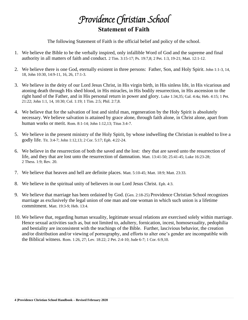# Providence Christian School **Statement of Faith**

The following Statement of Faith is the official belief and policy of the school.

- 1. We believe the Bible to be the verbally inspired, only infallible Word of God and the supreme and final authority in all matters of faith and conduct. 2 Tim. 3:15-17; Ps. 19:7,8; 2 Pet. 1:3, 19-21; Matt. 12:1-12.
- 2. We believe there is one God, eternally existent in three persons: Father, Son, and Holy Spirit. John 1:1-3, 14, 18, John 10:30, 14:9-11, 16, 26, 17:1-3.
- 3. We believe in the deity of our Lord Jesus Christ, in His virgin birth, in His sinless life, in His vicarious and atoning death through His shed blood, in His miracles, in His bodily resurrection, in His ascension to the right hand of the Father, and in His personal return in power and glory. Luke 1:34,35; Gal. 4:4a; Heb. 4:15; 1 Pet. 21:22; John 1:1, 14, 10:30; Col. 1:19; 1 Tim. 2:5; Phil. 2:7,8.
- 4. We believe that for the salvation of lost and sinful man, regeneration by the Holy Spirit is absolutely necessary. We believe salvation is attained by grace alone, through faith alone, in Christ alone, apart from human works or merit. Rom. 8:1-14; John 1:12,13; Titus 3:4-7.
- 5. We believe in the present ministry of the Holy Spirit, by whose indwelling the Christian is enabled to live a godly life. Tit. 3:4-7; John 1:12,13; 2 Cor. 5:17; Eph. 4:22-24.
- 6. We believe in the resurrection of both the saved and the lost: they that are saved unto the resurrection of life, and they that are lost unto the resurrection of damnation. Matt. 13:41-50; 25:41-45; Luke 16:23-28; 2 Thess. 1:9; Rev. 20.
- 7. We believe that heaven and hell are definite places. Matt. 5:10-45; Matt. 18:9; Matt. 23:33.
- 8. We believe in the spiritual unity of believers in our Lord Jesus Christ. Eph. 4:3.
- 9. We believe that marriage has been ordained by God. (Gen. 2:18-25) Providence Christian School recognizes marriage as exclusively the legal union of one man and one woman in which such union is a lifetime commitment. Matt. 19:3-9; Heb. 13:4.
- 10. We believe that, regarding human sexuality, legitimate sexual relations are exercised solely within marriage. Hence sexual activities such as, but not limited to, adultery, fornication, incest, homosexuality, pedophilia and bestiality are inconsistent with the teachings of the Bible. Further, lascivious behavior, the creation and/or distribution and/or viewing of pornography, and efforts to alter one's gender are incompatible with the Biblical witness. Rom. 1:26, 27; Lev. 18:22; 2 Pet. 2:4-10; Jude 6-7; 1 Cor. 6:9,10.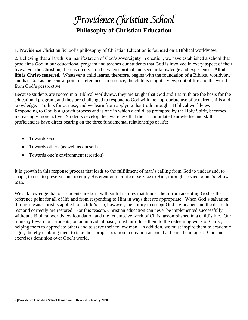# Providence Christian School **Philosophy of Christian Education**

1. Providence Christian School's philosophy of Christian Education is founded on a Biblical worldview.

2. Believing that all truth is a manifestation of God's sovereignty in creation, we have established a school that proclaims God in our educational program and teaches our students that God is involved in every aspect of their lives. For the Christian, there is no division between spiritual and secular knowledge and experience. **All of life is Christ-centered***.* Whatever a child learns, therefore, begins with the foundation of a Biblical worldview and has God as the central point of reference. In essence, the child is taught a viewpoint of life and the world from God's perspective.

Because students are rooted in a Biblical worldview, they are taught that God and His truth are the basis for the educational program, and they are challenged to respond to God with the appropriate use of acquired skills and knowledge. Truth is for our use, and we learn from applying that truth through a Biblical worldview. Responding to God is a growth process and is one in which a child, as prompted by the Holy Spirit, becomes increasingly more active. Students develop the awareness that their accumulated knowledge and skill proficiencies have direct bearing on the three fundamental relationships of life:

- Towards God
- Towards others (as well as oneself)
- Towards one's environment (creation)

It is growth in this response process that leads to the fulfillment of man's calling from God to understand, to shape, to use, to preserve, and to enjoy His creation in a life of service to Him, through service to one's fellow man.

We acknowledge that our students are born with sinful natures that hinder them from accepting God as the reference point for all of life and from responding to Him in ways that are appropriate. When God's salvation through Jesus Christ is applied to a child's life, however, the ability to accept God's guidance and the desire to respond correctly are restored. For this reason, Christian education can never be implemented successfully without a Biblical worldview foundation and the redemptive work of Christ accomplished in a child's life. Our ministry toward our students, on an individual basis, must introduce them to the redeeming work of Christ, helping them to appreciate others and to serve their fellow man. In addition, we must inspire them to academic rigor, thereby enabling them to take their proper position in creation as one that bears the image of God and exercises dominion over God's world.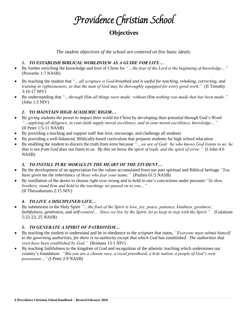# Providence Christian School

# **Objectives**

*The student objectives of the school are centered on five basic ideals:*

#### *1. TO ESTABLISH BIBLICAL WORLDVIEW AS A GUIDE FOR LIFE…*

- By further enriching the knowledge and love of Christ for *"…the fear of the Lord is the beginning of knowledge…"* (Proverbs 1:7 NASB)
- By teaching the student that *"…all scripture is God-breathed and is useful for teaching, rebuking, correcting, and training in righteousness, so that the man of God may be thoroughly equipped for every good work."* (II Timothy 3:16-17 NIV)
- By understanding that *"…through Him all things were made; without Him nothing was made that has been made."*  (John 1:3 NIV)

#### *2. TO MAINTAIN HIGH ACADEMIC RIGOR…*

- By giving students the power to impact their world for Christ by developing their potential through God's Word *"…applying all diligence, in your faith supply moral excellence, and in your moral excellence, knowledge…"* (II Peter 1:5-11 NASB)
- By providing a teaching and support staff that love, encourage, and challenge all students
- By providing a well-balanced, Biblically-based curriculum that prepares students for high school education
- By enabling the student to discern the truth from error because *"…we are of God: he who knows God listens to us; he that is not from God does not listen to us. By this we know the spirit of truth, and the spirit of error."* (I John 4:6 NASB)

#### *3. TO INSTILL PURE MORALS IN THE HEART OF THE STUDENT…*

- By the development of an appreciation for the values accumulated from our past spiritual and Biblical heritage *"You have given me the inheritance of those who fear your name."* (Psalms 61:5 NASB)
- By instillation of the desire to choose right over wrong and to hold to one's convictions under pressure:*"So then, brothers, stand firm and hold to the teachings we passed on to you…"* (II Thessalonians 2:15 NIV)

#### *4. TO LIVE A DISCIPLINED LIFE…*

• By submission to the Holy Spirit *"…the fruit of the Spirit is love, joy, peace, patience, kindness, goodness, faithfulness, gentleness, and self-control… Since we live by the Spirit, let us keep in step with the Spirit."* (Galatians 5:22-23, 25 NASB)

#### *5. TO GENERATE A SPIRIT OF PATRIOTISM…*

- By teaching the student to understand and be in obedience to the scripture that states, *"Everyone must submit himself*  to the governing authorities, for there is no authority except that which God has established. The authorities that *exist have been established by God."* (Romans 13:1 NIV)
- By teaching faithfulness to the kingdom of God and recognition of the atheistic teaching which undermines our country's foundation: *"But you are a chosen race, a royal priesthood, a holy nation, a people of God's own possession…"* (I Peter 2:9 NASB)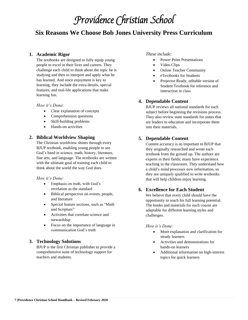# Providence Christian School

# **Six Reasons We Choose Bob Jones University Press Curriculum**

#### **1. Academic Rigor**

The textbooks are designed to fully equip young people to excel in their lives and careers. They challenge each child to think about the topic he is studying and then to interpret and apply what he has learned. And since enjoyment is key to learning, they include the extra details, special features, and real-life applications that make learning fun.

#### *How it's Done*:

- Clear explanation of concepts
- Comprehension questions
- Skill-building problems
- Hands-on activities

#### **2. Biblical Worldview Shaping**

The Christian worldview shines through every BJUP textbook, enabling young people to see God's hand in science, math, history, literature, fine arts, and language. The textbooks are written with the ultimate goal of training each child to think about the world the way God does.

#### *How it's Done:*

- Emphasis on truth, with God's revelation as the standard
- Biblical perspective on events, people, and literature
- Special feature sections, such as "Math and Scripture"
- Activities that correlate science and stewardship
- Focus on the importance of language in communication God's truth

#### **3. Technology Solutions**

BJUP is the first Christian publisher to provide a comprehensive suite of technology support for teachers and students.

#### *These include:*

- Power Point Presentations
- Video Clips
- Online Teacher Community
- eTextbooks for Students
- Projector Ready, editable version of Student Textbook for reference and interaction in class

#### **4. Dependable Content**

BJUP reviews all national standards for each subject before beginning the revisions process. They also review state standards for states that are leaders in education and incorporate them into their materials.

#### **5. Dependable Content**

Content accuracy is so important to BJUP that they originally researched and wrote each textbook from the ground up. The authors are experts in their fields; many have experience teaching in the classroom. They understand how a child's mind processes new information, so they are uniquely qualified to write textbooks that will help children enjoy learning.

#### **6. Excellence for Each Student**

We believe that every child should have the opportunity to reach his full learning potential. The books and materials for each course are adaptable for different learning styles and challenges.

#### *How it's Done:*

- More explanation and clarification for steady learners
- Activities and demonstrations for hands-on learners
- Additional information on high-interest topics for quick learners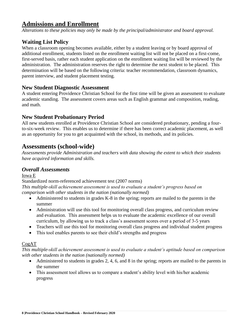# **Admissions and Enrollment**

*Alterations to these policies may only be made by the principal/administrator and board approval.*

# **Waiting List Policy**

When a classroom opening becomes available, either by a student leaving or by board approval of additional enrollment, students listed on the enrollment waiting list will not be placed on a first-come, first-served basis, rather each student application on the enrollment waiting list will be reviewed by the administration. The administration reserves the right to determine the next student to be placed. This determination will be based on the following criteria: teacher recommendation, classroom dynamics, parent interview, and student placement testing.

#### **New Student Diagnostic Assessment**

A student entering Providence Christian School for the first time will be given an assessment to evaluate academic standing. The assessment covers areas such as English grammar and composition, reading, and math.

#### **New Student Probationary Period**

All new students enrolled at Providence Christian School are considered probationary, pending a fourto-six-week review. This enables us to determine if there has been correct academic placement, as well as an opportunity for you to get acquainted with the school, its methods, and its policies.

# **Assessments (school-wide)**

*Assessments provide Administration and teachers with data showing the extent to which their students have acquired information and skills.* 

#### *Overall Assessments*

Iowa E

Standardized norm-referenced achievement test (2007 norms) *This multiple-skill achievement assessment is used to evaluate a student's progress based on comparison with other students in the nation (nationally normed)*

- Administered to students in grades K-8 in the spring; reports are mailed to the parents in the summer
- Administration will use this tool for monitoring overall class progress, and curriculum review and evaluation. This assessment helps us to evaluate the academic excellence of our overall curriculum, by allowing us to track a class's assessment scores over a period of 3-5 years
- Teachers will use this tool for monitoring overall class progress and individual student progress
- This tool enables parents to see their child's strengths and progress

#### CogAT

*This multiple-skill achievement assessment is used to evaluate a student's aptitude based on comparison with other students in the nation (nationally normed)*

- Administered to students in grades 2, 4, 6, and 8 in the spring; reports are mailed to the parents in the summer
- This assessment tool allows us to compare a student's ability level with his/her academic progress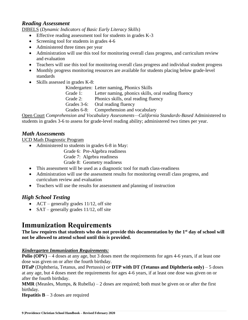#### *Reading Assessment*

DIBELS (*Dynamic Indicators of Basic Early Literacy Skills*)

- Effective reading assessment tool for students in grades K-3
- Screening tool for students in grades 4-6
- Administered three times per year
- Administration will use this tool for monitoring overall class progress, and curriculum review and evaluation
- Teachers will use this tool for monitoring overall class progress and individual student progress
- Monthly progress monitoring resources are available for students placing below grade-level standards
- Skills assessed in grades K-8:

Kindergarten: Letter naming, Phonics Skills

Grade 1: Letter naming, phonics skills, oral reading fluency

Grade 2: Phonics skills, oral reading fluency

Grades 3-6: Oral reading fluency

Grades 6-8: Comprehension and vocabulary

Open Court *Comprehension and Vocabulary Assessments—California Standards-Based* Administered to students in grades 3-6 to assess for grade-level reading ability; administered two times per year.

#### *Math Assessments*

UCD Math Diagnostic Program

• Administered to students in grades 6-8 in May:

Grade 6: Pre-Algebra readiness

Grade 7: Algebra readiness

Grade 8: Geometry readiness

- This assessment will be used as a diagnostic tool for math class-readiness
- Administration will use the assessment results for monitoring overall class progress, and curriculum review and evaluation
- Teachers will use the results for assessment and planning of instruction

# *High School Testing*

- ACT generally grades  $11/12$ , off site
- SAT generally grades  $11/12$ , off site

# **Immunization Requirements**

**The law requires that students who do not provide this documentation by the 1st day of school will not be allowed to attend school until this is provided.**

#### *Kindergarten Immunization Requirements:*

**Polio (OPV)** – 4 doses at any age, but 3 doses meet the requirements for ages 4-6 years, if at least one dose was given on or after the fourth birthday.

**DTaP** (Diphtheria, Tetanus, and Pertussis) *or* **DTP with DT (Tetanus and Diphtheria only)** – 5 doses at any age, but 4 doses meet the requirements for ages 4-6 years, if at least one dose was given on or after the fourth birthday.

**MMR** (Measles, Mumps, & Rubella) – 2 doses are required; both must be given on or after the first birthday.

**Hepatitis B** – 3 doses are required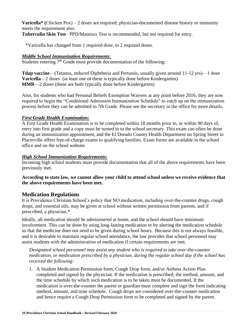**Varicella\* (**Chicken Pox) – 2 doses are required; physician-documented disease history or immunity meets the requirement also.

**Tuberculin Skin Test**– PPD/Mantoux Test is recommended, but not required for entry.

\*Varicella has changed from 1 required dose, to 2 required doses.

#### *Middle School Immunization Requirements:*

Students entering  $7<sup>th</sup>$  Grade must provide documentation of the following:

**Tdap vaccine**—(Tetanus, reduced Diphtheria and Pertussis, usually given around 11-12 yrs)—1 dose **Varicella**—2 doses (at least one of these is typically done before Kindergarten) **MMR**—2 doses (these are both typically done before Kindergarten)

Also, for students who had Personal Beliefs Exemption Waivers at any point before 2016, they are now required to begin the "Conditional Admission Immunization Schedule" to catch up on the immunization process before they can be admitted to 7th Grade. Please see the secretary in the office for more details.

#### *First Grade Health Examination:*

A First Grade Health Examination is to be completed within 18 months prior to, or within 90 days of, entry into first grade and a copy must be turned in to the school secretary. This exam can often be done during an immunization appointment, and the El Dorado County Health Department on Spring Street in Placerville offers free-of-charge exams to qualifying families. Exam forms are available in the school office and on the school website.

#### *High School Immunization Requirements:*

Incoming high school students must provide documentation that all of the above requirements have been previously met.

#### **According to state law, we cannot allow your child to attend school unless we receive evidence that the above requirements have been met.**

#### **Medication Regulations**

It is Providence Christian School's policy that NO medication, including over-the-counter drugs, cough drops, and essential oils, may be given at school without written permission from parents, and if prescribed, a physician.\*

Ideally, all medication should be administered at home, and the school should have minimum involvement. This can be done by using long-lasting medication or by altering the medication schedule so that the medicine does not need to be given during school hours. Because this is not always feasible, and it is desirable to maintain regular school attendance, the law provides that school personnel may assist students with the administration of medication if certain requirements are met.

*Designated school personnel may assist any student who is required to take over-the-counter medication, or medication prescribed by a physician, during the regular school day if the school has received the following:*

1. A Student Medication Permission form, Cough Drop form, and/or Asthma Action Plan completed and signed by the physician. If the medication is prescribed, the method, amount, and the time schedule by which such medication is to be taken must be documented. If the medication is over-the-counter the parent or guardian must complete and sign the form indicating method, amount, and time schedule. Cough drops are considered over-the-counter medication and hence require a Cough Drop Permission form to be completed and signed by the parent.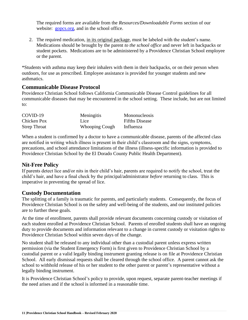The required forms are available from the *Resources/Downloadable Forms* section of our website: [gopcs.org,](http://www.providence-christian.org/) and in the school office.

2. The required medication, in its original package, must be labeled with the student's name. Medications should be brought by the parent *to the school office* and never left in backpacks or student pockets. Medications are to be administered by a Providence Christian School employee or the parent.

\*Students with asthma may keep their inhalers with them in their backpacks, or on their person when outdoors, for use as prescribed. Employee assistance is provided for younger students and new asthmatics.

#### **Communicable Disease Protocol**

Providence Christian School follows California Communicable Disease Control guidelines for all communicable diseases that may be encountered in the school setting. These include, but are not limited to:

| COVID-19            | Meningitis            | Mononucleosis         |
|---------------------|-----------------------|-----------------------|
| Chicken Pox         | Lice                  | <b>Fifths Disease</b> |
| <b>Strep Throat</b> | <b>Whooping Cough</b> | Influenza             |

When a student is confirmed by a doctor to have a communicable disease, parents of the affected class are notified in writing which illness is present in their child's classroom and the signs, symptoms, precautions, and school attendance limitations of the illness (illness-specific information is provided to Providence Christian School by the El Dorado County Public Health Department).

# **Nit-Free Policy**

If parents detect lice and/or nits in their child's hair, parents are required to notify the school, treat the child's hair, and have a final check by the principal/administrator *before* returning to class. This is imperative in preventing the spread of lice.

#### **Custody Documentation**

The splitting of a family is traumatic for parents, and particularly students. Consequently, the focus of Providence Christian School is on the safety and well-being of the students, and our instituted policies are to further these goals.

At the time of enrollment, parents shall provide relevant documents concerning custody or visitation of each student enrolled at Providence Christian School. Parents of enrolled students shall have an ongoing duty to provide documents and information relevant to a change in current custody or visitation rights to Providence Christian School within seven days of the change.

No student shall be released to any individual other than a custodial parent unless express written permission (via the Student Emergency Form) is first given to Providence Christian School by a custodial parent or a valid legally binding instrument granting release is on file at Providence Christian School. All early dismissal requests shall be cleared through the school office. A parent cannot ask the school to withhold release of his or her student to the other parent or parent's representative without a legally binding instrument.

It is Providence Christian School's policy to provide, upon request, separate parent-teacher meetings if the need arises and if the school is informed in a reasonable time.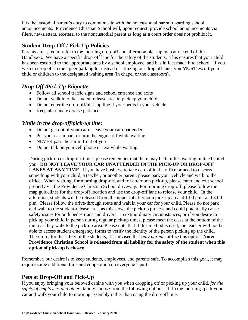It is the custodial parent's duty to communicate with the noncustodial parent regarding school announcements. Providence Christian School will, upon request, provide school announcements via fliers, newsletters, etcetera, to the noncustodial parent as long as a court order does not prohibit it.

#### **Student Drop-Off / Pick-Up Policies**

Parents are asked to refer to the morning drop-off and afternoon pick-up map at the end of this Handbook. We have a specific drop-off lane for the safety of the students. This ensures that your child has been escorted to the appropriate area by a school employee, and has in fact made it to school. If you wish to drop off in the upper parking lot instead of utilizing our drop off lane, you **MUST** escort your child or children to the designated waiting area (in chapel or the classroom).

#### *Drop-Off /Pick-Up Etiquette*

- Follow all school traffic signs and school entrance and exits
- Do not walk into the student release area to pick up your child
- Do not enter the drop-off/pick-up line if your pet is in your vehicle
- Keep alert and exercise patience

#### *While in the drop-off/pick-up line:*

- Do not get out of your car or leave your car unattended
- Put your car in park or turn the engine off while waiting
- NEVER pass the car in front of you
- Do not talk on your cell phone or text while waiting

During pick-up or drop-off times, please remember that there may be families waiting in line behind you. **DO NOT LEAVE YOUR CAR UNATTENDED IN THE PICK-UP OR DROP-OFF**  LANES AT ANY TIME. If you have business to take care of in the office or need to discuss something with your child, a teacher, or another parent, please park your vehicle and walk to the office**.** When visiting, for morning drop-off, and for afternoon pick-up, please enter and exit school property via the Providence Christian School driveway. For morning drop-off, please follow the map guidelines for the drop-off location and use the drop-off lane to release your child. In the afternoon, students will be released from the upper lot afternoon pick-up area at 1:00 p.m. and 3:00 p.m. Please follow the drive-through route and wait in your car for your child. Please do not park and walk to the student-release area, as this slows the pick-up process and could potentially cause safety issues for both pedestrians and drivers. In extraordinary circumstances, or if you desire to pick up your child in person during regular pick-up times, please meet the class at the bottom of the ramp as they walk to the pick-up area. Please note that if this method is used, the teacher will not be able to access student emergency forms to verify the identity of the person picking up the child. Therefore, for the safety of the students, it is advised that *only parents* utilize this option. **Note: Providence Christian School is released from all liability for the safety of the student when this option of pick-up is chosen.**

Remember, our desire is to keep students, employees, and parents safe. To accomplish this goal, it may require some additional time and cooperation on everyone's part.

# **Pets at Drop-Off and Pick-Up**

If you enjoy bringing your beloved canine with you when dropping off or picking up your child, *for the safety of employees and others* kindly choose from the following options: 1. In the mornings park your car and walk your child to morning assembly rather than using the drop-off line.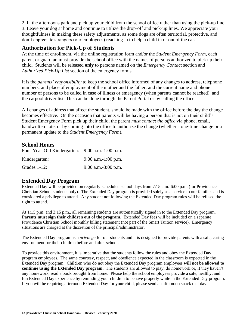2. In the afternoons park and pick up your child from the school office rather than using the pick-up line. 3. Leave your dog at home and continue to utilize the drop-off and pick-up lines. We appreciate your thoughtfulness in making these safety adjustments, as some dogs are often territorial, protective, and don't appreciate strangers (our employees) reaching in to help a child in or out of the car.

#### **Authorization for Pick-Up of Students**

At the time of enrollment, via the online registration form and/or the *Student Emergency Form*, each parent or guardian must provide the school office with the names of persons authorized to pick up their child. Students will be released **only** to persons named on the *Emergency Contact* section and *Authorized Pick-Up List* section of the emergency forms.

It is the *parents' responsibility* to keep the school office informed of any changes to address, telephone numbers, and place of employment of the mother and the father; and the current name and phone number of persons to be called in case of illness or emergency (when parents cannot be reached), and the carpool driver list. This can be done through the Parent Portal or by calling the office.

All changes of address that affect the student, should be made with the office before the day the change becomes effective. On the occasion that parents will be having a person that is not on their child's Student Emergency Form pick up their child, the parent *must contact the office* via phone, email, handwritten note, or by coming into the office to authorize the change (whether a one-time change or a permanent update to the *Student Emergency Form*).

#### **School Hours**

| Four-Year-Old Kindergarten: 9:00 a.m.-1:00 p.m. |                       |
|-------------------------------------------------|-----------------------|
| Kindergarten:                                   | $9:00$ a.m.-1:00 p.m. |
| Grades $1-12$ :                                 | $9:00$ a.m.-3:00 p.m. |

#### **Extended Day Program**

Extended Day will be provided on regularly-scheduled school days from 7:15 a.m.-6:00 p.m. (for Providence Christian School students only). The Extended Day program is provided solely as a service to our families and is considered a privilege to attend. Any student not following the Extended Day program rules will be refused the right to attend.

At 1:15 p.m. and 3:15 p.m., all remaining students are automatically signed in to the Extended Day program. **Parents must sign their children out of the program**. Extended Day fees will be included on a separate Providence Christian School monthly billing statement (not part of the Smart Tuition service). Emergency situations are charged at the discretion of the principal/administrator.

The Extended Day program is a *privilege* for our students and it is designed to provide parents with a safe, caring environment for their children before and after school.

To provide this environment, it is imperative that the students follow the rules and obey the Extended Day program employees. The same courtesy, respect, and obedience expected in the classroom is expected in the Extended Day program. Children who do not obey the Extended Day program employees **will not be allowed to continue using the Extended Day program.** The students are allowed to play, do homework or, if they haven't any homework, read a book brought from home. Please help the school employees provide a safe, healthy, and fun Extended Day experience by reminding your children to behave properly while in the Extended Day program. If you will be requiring afternoon Extended Day for your child, please send an afternoon snack that day.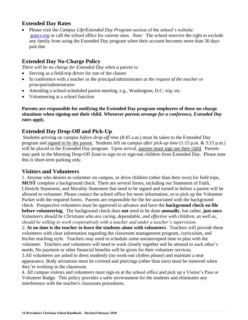#### **Extended Day Rates**

• Please visit the *Campus Life/Extended Day Program* section of the school's website: [gopcs.org](http://www.placervillechristianschool.com/) or call the school office for current rates. *Note:* The school reserves the right to exclude any family from using the Extended Day program when their account becomes more than 30 days past due

#### **Extended Day No-Charge Policy**

*There will be no charge for Extended Day when a parent is:*

- Serving as a field-trip driver for one of the classes
- In conference with a teacher or the principal/administrator *at the request of the teacher or principal/administrator*
- Attending a school-scheduled parent meeting, e.g., Washington, D.C. trip, etc.
- Volunteering at a school function

**Parents are responsible for notifying the Extended Day program employees of these no-charge situations when signing-out their child.** *Whenever parents arrange for a conference, Extended Day rates apply.*

#### **Extended Day Drop-Off and Pick-Up**

Students arriving on campus *before drop-off time* (8:45 a.m.) must be taken to the Extended Day program and signed in by the parent. Students left on campus *after pick-up time* (1:15 p.m. & 3:15 p.m.) will be placed in the Extended Day program. Upon arrival, parents must sign out their child. Parents may park in the Morning Drop-Off Zone to sign-in or sign-out children from Extended Day. Please note this is short-term parking only.

#### **Visitors and Volunteers**

1. Anyone who desires to volunteer on campus, or drive children (other than their own) for field trips, **MUST** complete a background check. There are several forms, including our Statement of Faith, Lifestyle Statement, and Morality Statement that need to be signed and turned in before a parent will be allowed to volunteer. Please contact the school office for more information, or to pick up the Volunteer Packet with the required forms. Parents are responsible for the fee associated with the background check. Prospective volunteers must be approved in advance and have the **background check on file before volunteering**. The background check does **not** need to be done **annually**, but rather, **just once**. *Volunteers should be Christians who are caring, dependable, and effective with children, as well as, should be willing to work cooperatively with a teacher and under a teacher's supervision.* 

*2.* **At no time is the teacher to leave the students alone with volunteers**. Teachers will provide these volunteers with clear information regarding the classroom management program, curriculum, and his/her teaching style. Teachers may need to schedule some uninterrupted time to plan with the volunteer. Teachers and volunteers will need to work closely together and be attuned to each other's needs. No payment or other financial benefits will be given for their volunteer services.

3.All volunteers are asked to dress modestly (no work-out clothes please) and maintain a neat appearance. Body art/tattoos must be covered and piercings (other than ears) must be removed when they're working in the classroom.

4. All campus visitors and volunteers must sign-in at the school office and pick up a Visitor's Pass or Volunteer Badge. This policy provides a safer environment for the students and eliminates any interference with the teacher's classroom procedures.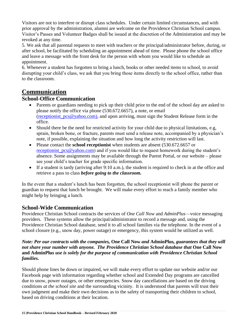Visitors are not to interfere or disrupt class schedules. Under certain limited circumstances, and with prior approval by the administration, alumni are welcome on the Providence Christian School campus. Visitor's Passes and Volunteer Badges shall be issued at the discretion of the Administration and may be revoked at any time.

5. We ask that all parental requests to meet with teachers or the principal/administrator before, during, or after school, be facilitated by scheduling an appointment ahead of time. Please phone the school office and leave a message with the front desk for the person with whom you would like to schedule an appointment.

6. Whenever a student has forgotten to bring a lunch, books or other needed items to school, to avoid disrupting your child's class, we ask that you bring those items directly to the school office, rather than to the classroom.

# **Communication**

#### **School-Office Communication**

- Parents or guardians needing to pick up their child prior to the end of the school day are asked to please notify the office via phone (530.672.6657), a note, or email [\(receptionist\\_pcs@yahoo.com\)](mailto:receptionist_pcs@yahoo.com), and upon arriving, must sign the Student Release form in the office.
- Should there be the need for restricted activity for your child due to physical limitations, e.g, sprain, broken bone, or fracture, parents must send a release note, accompanied by a physician's note, if possible, explaining the situation and how long the activity restriction will last.
- Please contact the **school receptionist** when students are absent (530.672.6657 or [receptionist\\_pcs@yahoo.com\)](mailto:receptionist_pcs@yahoo.com) and if you would like to request homework during the student's absence. Some assignments may be available through the Parent Portal, or our website – please see your child's teacher for grade specific information.
- If a student is tardy (arriving after 9:10 a.m.), the student is required to check in at the office and retrieve a pass to class *before going to the classroom.*

In the event that a student's lunch has been forgotten, the school receptionist will phone the parent or guardian to request that lunch be brought. We will make every effort to reach a family member who might help by bringing a lunch.

#### **School-Wide Communication**

Providence Christian School contracts the services of *One Call Now* and *AdminPlus*—voice messaging providers. These systems allow the principal/administrator to record a message and, using the Providence Christian School database, send it to all school families via the telephone. In the event of a school closure (e.g., snow day, power outage) or emergency, this system would be utilized as well.

#### *Note: Per our contracts with the companies,* **One Call Now** *and* **AdminPlus***, guarantees that they will not share your number with anyone. The Providence Christian School database that* **One Call Now and AdminPlus** *use is solely for the purpose of communication with Providence Christian School families.*

Should phone lines be down or impaired, we will make every effort to update our website and/or our Facebook page with information regarding whether school and Extended Day programs are cancelled due to snow, power outages, or other emergencies. Snow day cancellations are based on the driving conditions *at the school site* and the surrounding vicinity. It is understood that parents will trust their own judgment and make their own decisions as to the safety of transporting their children to school, based on driving conditions at their location.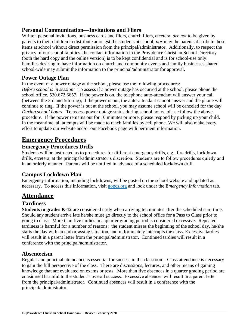#### **Personal Communication—Invitations and Fliers**

Written personal invitations, business cards and fliers, church fliers, etcetera, *are not* to be given by parents to their children to distribute amongst the students at school; *nor* may the parents distribute these items at school without direct permission from the principal/administrator. Additionally, to respect the privacy of our school families, the contact information in the Providence Christian School Directory (both the hard copy and the online version) is to be kept confidential and is for school-use only. Families desiring to have information on church and community events and family businesses shared school-wide may submit the information to the principal/administrator for approval.

#### **Power Outage Plan**

In the event of a power outage at the school, please use the following procedures:

*Before school is in session:* To assess if a power outage has occurred at the school, please phone the school office, 530.672.6657. If the power is on, the telephone auto-attendant will answer your call (between the 3rd and 5th ring); if the power is out, the auto-attendant cannot answer and the phone will continue to ring. If the power is out at the school, you may assume school will be canceled for the day. *During school hours:* To assess power outage status during school hours, please follow the above procedure. If the power remains out for 10 minutes or more, please respond by picking up your child. In the meantime, all attempts will be made to reach families by cell phone. We will also make every effort to update our website and/or our Facebook page with pertinent information.

# **Emergency Procedures**

#### **Emergency Procedures Drills**

Students will be instructed as to procedures for different emergency drills, e.g., fire drills, lockdown drills, etcetera, at the principal/administrator's discretion. Students are to follow procedures quietly and in an orderly manner. Parents will be notified in advance of a scheduled lockdown drill.

#### **Campus Lockdown Plan**

Emergency information, including lockdowns, will be posted on the school website and updated as necessary. To access this information, visit gopcs.org and look under the E*mergency Information* tab.

# **Attendance**

#### **Tardiness**

**Students in grades K-12** are considered tardy when arriving ten minutes after the scheduled start time. Should any student arrive late he/she must go directly to the school office for a Pass to Class prior to going to class. More than five tardies in a quarter grading period is considered excessive. Repeated tardiness is harmful for a number of reasons: the student misses the beginning of the school day, he/she starts the day with an embarrassing situation, and unfortunately interrupts the class. Excessive tardies will result in a parent letter from the principal/administrator. Continued tardies will result in a conference with the principal/administrator.

#### **Absenteeism**

Regular and punctual attendance is essential for success in the classroom. Class attendance is necessary to gain the full perspective of the class. There are discussions, lectures, and other means of gaining knowledge that are evaluated on exams or tests. More than five absences in a quarter grading period are considered harmful to the student's overall success. Excessive absences will result in a parent letter from the principal/administrator. Continued absences will result in a conference with the principal/administrator.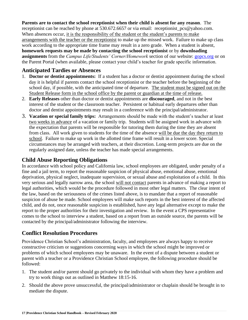**Parents are to contact the school receptionist when their child is absent for any reason**. The receptionist can be reached by phone at  $530.672.6657$  or via email: receptionist  $pcs@yahoo.com$ . When absences occur, it is the responsibility of the student or the student's parents to make arrangements with the teacher or the receptionist to make up the missed work. Failure to make up class work according to the appropriate time frame may result in a zero grade. When a student is absent, **homework requests may be made by contacting the school receptionist** or by **downloading assignments** from the *Campus Life/Students' Corner/Homework* section of our website: [gopcs.org](http://www.providence-christian.org/) or on the Parent Portal (when available, please contact your child's teacher for grade specific information.

#### **Anticipated Tardies or Absences**

- 1. **Doctor or dentist appointments:** If a student has a doctor or dentist appointment during the school day it is helpful if parents contact the school receptionist or the teacher before the beginning of the school day, if possible, with the anticipated time of departure. The student must be signed out on the Student Release form in the school office by the parent or guardian at the time of release.
- 2. **Early Releases** other than doctor or dentist appointments are **discouraged**, and not in the best interest of the student or the classroom teacher. Persistent or habitual early departures other than doctor and dentist appointments may result in a conference with the principal/administrator.
- 3. **Vacation or special family trips:** Arrangements should be made with the student's teacher at least two weeks in advance of a vacation or family trip. Students will be assigned work in advance with the expectation that parents will be responsible for tutoring them during the time they are absent from class. All work given to students for the time of the absence will be due the day they return to school. Failure to make up work in the allotted time frame will result in a lower score. Special circumstances may be arranged with teachers, at their discretion. Long-term projects are due on the regularly assigned date, unless the teacher has made special arrangements.

#### **Child Abuse Reporting Obligations**

In accordance with school policy and California law, school employees are obligated, under penalty of a fine and a jail term, to report the reasonable suspicion of physical abuse, emotional abuse, emotional deprivation, physical neglect, inadequate supervision, or sexual abuse and exploitation of a child. In this very serious and legally narrow area, the school will not contact parents in advance of making a report to legal authorities, which would be the procedure followed in most other legal matters. The clear intent of the law, based on the seriousness of the crimes listed above, is to mandate that a report of reasonable suspicion of abuse be made. School employees will make such reports in the best interest of the affected child, and do not, once reasonable suspicion is established, have any legal alternative except to make the report to the proper authorities for their investigation and review. In the event a CPS representative comes to the school to interview a student, based on a report from an outside source, the parents will be contacted by the principal/administrator following the interview.

# **Conflict Resolution Procedures**

Providence Christian School's administration, faculty, and employees are always happy to receive constructive criticism or suggestions concerning ways in which the school might be improved or problems of which school employees may be unaware. In the event of a dispute between a student or parent with a teacher or a Providence Christian School employee, the following procedure should be followed:

- 1. The student and/or parent should go privately to the individual with whom they have a problem and try to work things out as outlined in Matthew 18:15-16.
- 2. Should the above prove unsuccessful, the principal/administrator or chaplain should be brought in to mediate the dispute.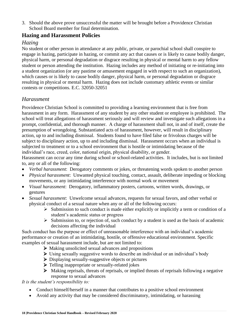3. Should the above prove unsuccessful the matter will be brought before a Providence Christian School Board member for final determination.

#### **Hazing and Harassment Policies**

#### *Hazing*

No student or other person in attendance at any public, private, or parochial school shall conspire to engage in hazing, participate in hazing, or commit any act that causes or is likely to cause bodily danger, physical harm, or personal degradation or disgrace resulting in physical or mental harm to any fellow student or person attending the institution. Hazing includes any method of initiating or re-initiating into a student organization (or any pastime or amusement engaged in with respect to such an organization), which causes or is likely to cause bodily danger, physical harm, or personal degradation or disgrace resulting in physical or mental harm. Hazing does not include customary athletic events or similar contests or competitions. E.C. 32050-32051

# *Harassment*

Providence Christian School is committed to providing a learning environment that is free from harassment in any form. Harassment of any student by any other student or employee is prohibited. The school will treat allegations of harassment seriously and will review and investigate such allegations in a prompt, confidential, and thorough manner. A charge of harassment shall not, in and of itself, create the presumption of wrongdoing. Substantiated acts of harassment, however, will result in disciplinary action, up to and including dismissal. Students found to have filed false or frivolous charges will be subject to disciplinary action, up to and including dismissal. Harassment occurs when an individual is subjected to treatment or to a school environment that is hostile or intimidating because of the individual's race, creed, color, national origin, physical disability, or gender.

Harassment can occur any time during school or school-related activities. It includes, but is not limited to, any or all of the following:

- *Verbal harassment*: Derogatory comments or jokes, or threatening words spoken to another person
- *Physical harassment*: Unwanted physical touching, contact, assault, deliberate impeding or blocking movements, or any intimidating interference with normal work or movement
- *Visual harassment*: Derogatory, inflammatory posters, cartoons, written words, drawings, or gestures
- *Sexual harassment*: Unwelcome sexual advances, requests for sexual favors, and other verbal or physical conduct of a sexual nature when any or all of the following occurs:
	- $\triangleright$  Submission to such conduct is made either explicitly or implicitly a term or condition of a student's academic status or progress
	- $\triangleright$  Submission to, or rejection of, such conduct by a student is used as the basis of academic decisions affecting the individual

Such conduct has the purpose or effect of unreasonable interference with an individual's academic performance or creation of an intimidating, hostile, or offensive educational environment. Specific examples of sexual harassment include, but are not limited to:

- ➢ Making unsolicited sexual advances and propositions
- ➢ Using sexually suggestive words to describe an individual or an individual's body
- ➢ Displaying sexually-suggestive objects or pictures
- ➢ Telling inappropriate or sexually-related jokes
- ➢ Making reprisals, threats of reprisals, or implied threats of reprisals following a negative response to sexual advances

#### *It is the student's responsibility to:*

- Conduct himself/herself in a manner that contributes to a positive school environment
- Avoid any activity that may be considered discriminatory, intimidating, or harassing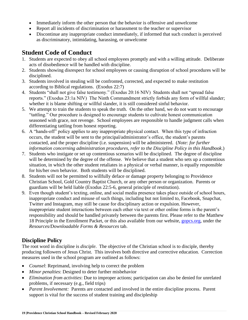- Immediately inform the other person that the behavior is offensive and unwelcome
- Report all incidents of discrimination or harassment to the teacher or supervisor
- Discontinue any inappropriate conduct immediately, if informed that such conduct is perceived as discriminatory, intimidating, harassing, or unwelcome

# **Student Code of Conduct**

- 1. Students are expected to obey all school employees promptly and with a willing attitude. Deliberate acts of disobedience will be handled with discipline.
- 2. Students showing disrespect for school employees or causing disruption of school procedures will be disciplined.
- 3. Students involved in stealing will be confronted, corrected, and expected to make restitution according to Biblical regulations. (Exodus 22:7)
- 4. Students "shall not give false testimony." (Exodus 20:16 NIV) Students shall not "spread false reports." (Exodus 23:1a NIV) The Ninth Commandment strictly forbids any form of willful slander; whether it is blame shifting or willful slander, it is still considered sinful behavior.
- 5. We attempt to train the students to speak the truth. On the other hand, we do not want to encourage "tattling." Our procedure is designed to encourage students to cultivate honest communication seasoned with grace, not revenge. School employees are responsible to handle judgment calls when differentiating tattling from honest reporting.
- 6. A "hands-off" policy applies to any inappropriate physical contact. When this type of infraction occurs, the student will be sent to the principal/administrator's office, the student's parents contacted, and the proper discipline (i.e. suspension) will be administered. (*Note: for further information concerning administration procedures, refer to the Discipline Policy in this Handbook*.)
- 7. Students who instigate or set up contentious scenarios will be disciplined. The degree of discipline will be determined by the degree of the offense. We believe that a student who sets up a contentious situation, in which the other student retaliates in a physical or verbal manner, is equally responsible for his/her own behavior. Both students will be disciplined.
- 8. Students will not be permitted to willfully deface or damage property belonging to Providence Christian School, Gold Country Baptist Church, or any other person or organization. Parents or guardians will be held liable (Exodus 22:5-6, general principle of restitution).
- 9. Even though student's texting, online, and social media presence takes place outside of school hours, inappropriate conduct and misuse of such things, including but not limited to, Facebook, Snapchat, Twitter and Instagram, may still be cause for disciplinary action or expulsion. However, inappropriate student interactions between each other via text or other online forms is the parent's responsibility and should be handled privately between the parents first. Please refer to the Matthew 18 Principle in the Enrollment Packet, or this also available from our website, [gopcs.org,](http://www.providence.christian.org/) under the *Resources/Downloadable Forms & Resources* tab.

# **Discipline Policy**

The root word in discipline is *disciple*. The objective of the Christian school is to disciple, thereby producing followers of Jesus Christ. This involves both directive and corrective education. Correction measures used in the school program are outlined as follows:

- *Counsel*: Reprimand, involving help to correct the problem
- *Minor penalties*: Designed to deter further misbehavior
- *Elimination from activities*: Due to improper actions; participation can also be denied for unrelated problems, if necessary (e.g., field trips)
- *Parent Involvement:* Parents are contacted and involved in the entire discipline process. Parent support is vital for the success of student training and discipleship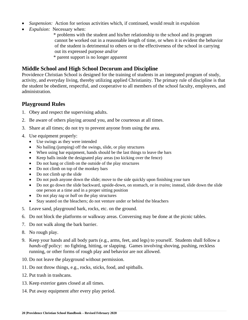- *Suspension:* Action for serious activities which, if continued, would result in expulsion
- *Expulsion:* Necessary when:

\* problems with the student and his/her relationship to the school and its program cannot be worked out in a reasonable length of time, or when it is evident the behavior of the student is detrimental to others or to the effectiveness of the school in carrying out its expressed purpose *and/or*

\* parent support is no longer apparent

#### **Middle School and High School Decorum and Discipline**

Providence Christian School is designed for the training of students in an integrated program of study, activity, and everyday living, thereby utilizing applied Christianity. The primary rule of discipline is that the student be obedient, respectful, and cooperative to all members of the school faculty, employees, and administration.

#### **Playground Rules**

- 1. Obey and respect the supervising adults.
- 2. Be aware of others playing around you, and be courteous at all times.
- 3. Share at all times; do not try to prevent anyone from using the area.
- 4. Use equipment properly:
	- Use swings as they were intended
	- No bailing (jumping) off the swings, slide, or play structures
	- When using bar equipment, hands should be the last things to leave the bars
	- Keep balls inside the designated play areas (no kicking over the fence)
	- Do not hang or climb on the outside of the play structures
	- Do not climb on top of the monkey bars
	- Do not climb *up* the slide
	- Do not push anyone down the slide; move to the side quickly upon finishing your turn
	- Do not go down the slide backward, upside-down, on stomach, or in *trains*; instead, slide down the slide one person at a time and in a proper sitting position
	- Do not play *tag* or *ball* on the play structures
	- Stay seated on the bleachers; do not venture under or behind the bleachers
- 5. Leave sand, playground bark, rocks, etc. on the ground.
- 6. Do not block the platforms or walkway areas. Conversing may be done at the picnic tables.
- 7. Do not walk along the bark barrier.
- 8. No rough play.
- 9. Keep your hands and all body parts (e.g., arms, feet, and legs) to yourself. Students shall follow a *hands-off* policy: no fighting, hitting, or slapping. Games involving shoving, pushing, reckless running, or other forms of rough play and behavior are not allowed.
- 10. Do not leave the playground without permission.
- 11. Do not throw things, e.g., rocks, sticks, food, and spitballs.
- 12. Put trash in trashcans.
- 13. Keep exterior gates closed at all times.
- 14. Put away equipment after every play period.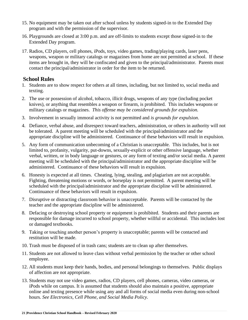- 15. No equipment may be taken out after school unless by students signed-in to the Extended Day program and with the permission of the supervisor.
- 16. Playgrounds are closed at 3:00 p.m. and are off-limits to students except those signed-in to the Extended Day program.
- 17. Radios, CD players, cell phones, iPods, toys, video games, trading/playing cards, laser pens, weapons, weapon or military catalogs or magazines from home are not permitted at school. If these items are brought in, they will be confiscated and given to the principal/administrator. Parents must contact the principal/administrator in order for the item to be returned.

#### **School Rules**

- 1. Students are to show respect for others at all times, including, but not limited to, social media and texting.
- 2. The use or possession of alcohol, tobacco, illicit drugs, weapons of any type (including pocket knives), or anything that resembles a weapon or firearm, is prohibited. This includes weapons or military catalogs or magazines. *This offense may be considered grounds for expulsion.*
- 3. Involvement in sexually immoral activity is not permitted and *is grounds for expulsion*.
- 4. Defiance, verbal abuse, and disrespect toward teachers, administration, or others in authority will not be tolerated. A parent meeting will be scheduled with the principal/administrator and the appropriate discipline will be administered. Continuance of these behaviors will result in expulsion.
- 5. Any form of communication unbecoming of a Christian is unacceptable. This includes, but is not limited to, profanity, vulgarity, put-downs, sexually-explicit or other offensive language, whether verbal, written, or in body language or gestures, or any form of texting and/or social media. A parent meeting will be scheduled with the principal/administrator and the appropriate discipline will be administered. Continuance of these behaviors will result in expulsion.
- 6. Honesty is expected at all times. Cheating, lying, stealing, and plagiarism are not acceptable. Fighting, threatening motions or words, or horseplay is not permitted. A parent meeting will be scheduled with the principal/administrator and the appropriate discipline will be administered. Continuance of these behaviors will result in expulsion.
- 7. Disruptive or distracting classroom behavior is unacceptable. Parents will be contacted by the teacher and the appropriate discipline will be administered.
- 8. Defacing or destroying school property or equipment is prohibited. Students and their parents are responsible for damage incurred to school property, whether willful or accidental. This includes lost or damaged textbooks.
- 9. Taking or touching another person's property is unacceptable; parents will be contacted and restitution will be made.
- 10. Trash must be disposed of in trash cans; students are to clean up after themselves.
- 11. Students are not allowed to leave class without verbal permission by the teacher or other school employee.
- 12. All students must keep their hands, bodies, and personal belongings to themselves. Public displays of affection are not appropriate.
- 13. Students may not use video games, radios, CD players, cell phones, cameras, video cameras, or iPods while on campus. It is assumed that students should also maintain a positive, appropriate online and texting presence while using any and all forms of social media even during non-school hours. *See Electronics, Cell Phone, and Social Media Policy.*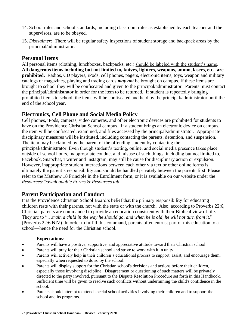- 14. School rules and school standards, including classroom rules as established by each teacher and the supervisors, are to be obeyed.
- 15. *Disclaimer:* There will be regular safety inspections of student storage and backpack areas by the principal/administrator.

#### **Personal Items**

All personal items (clothing, lunchboxes, backpacks, etc.) should be labeled with the student's name. **All dangerous items including but not limited to, knives, lighters, weapons, ammo, lasers, etc., are prohibited**. Radios, CD players, iPods, cell phones, pagers, electronic items, toys, weapon and military catalogs or magazines, playing and trading cards *may not* be brought on campus. If these items are brought to school they will be confiscated and given to the principal/administrator. Parents must contact the principal/administrator in order for the item to be returned. If student is repeatedly bringing prohibited items to school, the items will be confiscated and held by the principal/administrator until the end of the school year.

#### **Electronics, Cell Phone and Social Media Policy**

Cell phones, iPods, cameras, video cameras, and other electronic devices are prohibited for students to have on the Providence Christian School campus. If a student brings an electronic device on campus, the item will be confiscated, examined, and files accessed by the principal/administrator. Appropriate disciplinary measures will be instituted, including contacting the parents, detention, and suspension. The item may be claimed by the parent of the offending student by contacting the principal/administrator. Even though student's texting, online, and social media presence takes place outside of school hours, inappropriate conduct and misuse of such things, including but not limited to, Facebook, Snapchat, Twitter and Instagram, may still be cause for disciplinary action or expulsion. However, inappropriate student interactions between each other via text or other online forms is ultimately the parent's responsibility and should be handled privately between the parents first. Please refer to the Matthew 18 Principle in the Enrollment form*,* or it is available on our website under the *Resources/Downloadable Forms* & *Resources tab*.

#### **Parent Participation and Conduct**

It is the Providence Christian School Board's belief that the primary responsibility for educating children rests with their parents, not with the state or with the church. Also, according to Proverbs 22:6, Christian parents are commanded to provide an education consistent with their Biblical view of life. They are to "...train a child in the way he should go, and when he is old, he will not turn from it." (Proverbs 22:6 NIV) In order to fulfill this command, parents often entrust part of this education to a school—hence the need for the Christian school.

#### **Expectations:**

- Parents will have a positive, supportive, and appreciative attitude toward their Christian school.
- Parents will pray for their Christian school and strive to work with it in unity.
- Parents will actively help in their children's educational process to support, assist, and encourage them, especially when requested to do so by the school.
- Parents will display support for the Christian school's decisions and actions before their children, especially those involving discipline. Disagreement or questioning of such matters will be privately directed to the party involved, pursuant to the Dispute Resolution Procedure set forth in this Handbook. Sufficient time will be given to resolve such conflicts without undermining the child's confidence in the school.
- Parents should attempt to attend special school activities involving their children and to support the school and its programs.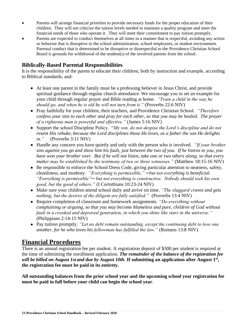- Parents will arrange financial priorities to provide necessary funds for the proper education of their children. They will not criticize the tuition levels needed to maintain a quality program and meet the financial needs of those who operate it. They will meet their commitment to pay tuition promptly.
- Parents are expected to conduct themselves at all times in a manner that is respectful, avoiding any action or behavior that is disruptive to the school administration, school employees, or student environment. Parental conduct that is determined to be disruptive or disrespectful to the Providence Christian School Board is grounds for withdrawal of the student(s) of the involved parents from the school.

#### **Biblically-Based Parental Responsibilities**

It is the responsibility of the parent to educate their children, both by instruction and example, according to Biblical standards, and:

- At least one parent in the family must be a professing believer in Jesus Christ, and provide spiritual guidance through regular church attendance. We encourage you to set an example for your child through regular prayer and Bible reading at home. *"Train a child in the way he should go, and when he is old he will not turn from it."* (Proverbs 22:6 NIV)
- Pray faithfully for your children, their teachers, and Providence Christian School. *"Therefore confess your sins to each other and pray for each other, so that you may be healed. The prayer of a righteous man is powerful and effective."* (James 5:16 NIV)
- Support the school Discipline Policy. "*My son, do not despise the Lord's discipline and do not resent His rebuke, because the Lord disciplines those He loves, as a father the son He delights in."* (Proverbs 3:11 NIV)
- Handle any concern you have quietly and only with the person who is involved. *"If your brother sins against you go and show him his fault, just between the two of you. If he listens to you, you have won your brother over. But if he will not listen, take one or two others along, so that every matter may be established by the testimony of two or three witnesses."* (Matthew 18:15-16 NIV)
- Be responsible to enforce the School Dress Code, giving particular attention to neatness, safety, cleanliness, and modesty. *"Everything is permissible," ─but not everything is beneficial. "Everything is permissible"─ but not everything is constructive. Nobody should seek his own good, but the good of others."* (I Corinthians 10:23-24 NIV)
- Make sure your children attend school daily and arrive on time. *"The sluggard craves and gets nothing, but the desires of the diligent are fully satisfied."* (Proverbs 13:4 NIV)
- Require completion of classroom and homework assignments. *"Do everything without complaining or arguing, so that you may become blameless and pure, children of God without fault in a crooked and depraved generation, in which you shine like stars in the universe."* (Philippians 2:14-15 NIV)
- Pay tuition promptly. *"Let no debt remain outstanding, except the continuing debt to love one another, for he who loves his fellowman has fulfilled the law."* (Romans 13:8 NIV)

# **Financial Procedures**

There is an annual registration fee per student. A registration deposit of \$300 per student is required at the time of submitting the enrollment application. *The remainder of the balance of the registration fee will be billed on August 1st and due by August 10th*. **If submitting an application after August 1st , the registration fee must be paid in its entirety.** 

**All outstanding balances from the prior school year and the upcoming school year registration fee must be paid in full before your child can begin the school year**.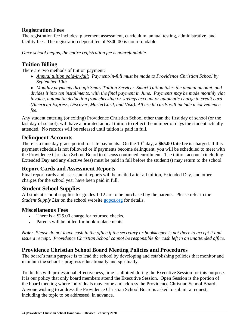#### **Registration Fees**

The registration fee includes: placement assessment, curriculum, annual testing, administrative, and facility fees. The registration deposit fee of \$300.00 is nonrefundable.

*Once school begins, the entire registration fee is nonrefundable.*

# **Tuition Billing**

There are two methods of tuition payment:

• *Annual tuition paid-in-full: Payment-in-full must be made to Providence Christian School by September 10th*

• *Monthly payments through Smart Tuition Service: Smart Tuition takes the annual amount, and divides it into ten installments, with the final payment in June. Payments may be made monthly via: invoice, automatic deduction from checking or savings account or automatic charge to credit card (American Express, Discover, MasterCard, and Visa). All credit cards will include a convenience fee.*

Any student entering (or exiting) Providence Christian School other than the first day of school (or the last day of school), will have a prorated annual tuition to reflect the number of days the student actually attended. No records will be released until tuition is paid in full.

#### **Delinquent Accounts**

There is a nine day grace period for late payments. On the 10<sup>th</sup> day, a \$65.00 late fee is charged. If this payment schedule is not followed or if payments become delinquent, you will be scheduled to meet with the Providence Christian School Board to discuss continued enrollment. The tuition account (including Extended Day and any elective fees) must be paid in full before the student(s) may return to the school.

#### **Report Cards and Assessment Reports**

Final report cards and assessment reports will be mailed after all tuition, Extended Day, and other charges for the school year have been paid in full.

# **Student School Supplies**

All student school supplies for grades 1-12 are to be purchased by the parents. Please refer to the *Student Supply List* on the school website [gopcs.org](http://www.providence.christian.org/) for details.

#### **Miscellaneous Fees**

- There is a \$25.00 charge for returned checks.
- Parents will be billed for book replacements.

*Note: Please do not leave cash in the office if the secretary or bookkeeper is not there to accept it and issue a receipt. Providence Christian School cannot be responsible for cash left in an unattended office.*

#### **Providence Christian School Board Meeting Policies and Procedures**

The board's main purpose is to lead the school by developing and establishing policies that monitor and maintain the school's progress educationally and spiritually.

To do this with professional effectiveness, time is allotted during the Executive Session for this purpose. It is our policy that only board members attend the Executive Session. Open Session is the portion of the board meeting where individuals may come and address the Providence Christian School Board. Anyone wishing to address the Providence Christian School Board is asked to submit a request, including the topic to be addressed, in advance.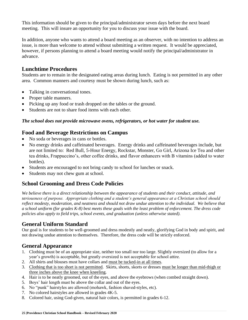This information should be given to the principal/administrator seven days before the next board meeting. This will insure an opportunity for you to discuss your issue with the board.

In addition, anyone who wants to attend a board meeting as an observer, with no intention to address an issue, is more than welcome to attend without submitting a written request. It would be appreciated, however, if persons planning to attend a board meeting would notify the principal/administrator in advance.

#### **Lunchtime Procedures**

Students are to remain in the designated eating areas during lunch. Eating is not permitted in any other area. Common manners and courtesy must be shown during lunch, such as:

- Talking in conversational tones.
- Proper table manners.
- Picking up any food or trash dropped on the tables or the ground.
- Students are not to share food items with each other.

#### *The school does not provide microwave ovens, refrigerators, or hot water for student use.*

#### **Food and Beverage Restrictions on Campus**

- No soda or beverages in cans or bottles.
- No energy drinks and caffeinated beverages. Energy drinks and caffeinated beverages include, but are not limited to: Red Bull, 5-Hour Energy, Rockstar, Monster, Go Girl, Arizona Ice Tea and other tea drinks, Frappuccino's, other coffee drinks, and flavor enhancers with B vitamins (added to water bottles).
- Students are encouraged to not bring candy to school for lunches or snack.
- Students may not chew gum at school.

#### **School Grooming and Dress Code Policies**

*We believe there is a direct relationship between the appearance of students and their conduct, attitude, and seriousness of purpose. Appropriate clothing and a student's general appearance at a Christian school should reflect modesty, moderation, and neatness and should not draw undue attention to the individual. We believe that a school uniform (for grades K-8) best meets these goals with the least problem of enforcement. The dress code policies also apply to field trips, school events, and graduation (unless otherwise stated).* 

#### **General Uniform Standard**

Our goal is for students to be well-groomed and dress modestly and neatly, glorifying God in body and spirit, and not drawing undue attention to themselves. Therefore, the dress code will be strictly enforced.

#### **General Appearance**

- 1. Clothing must be of an appropriate size, neither too small nor too large. Slightly oversized (to allow for a year's growth) is acceptable, but greatly oversized is not acceptable for school attire.
- 2. All shirts and blouses must have collars and must be tucked-in at all times.
- 3. Clothing that is too short is not permitted. Skirts, shorts, skorts or dresses must be longer than mid-thigh or three inches above the knee when kneeling.
- 4. Hair is to be neatly groomed, out of the eyes, and above the eyebrows (when combed straight down).
- 5. Boys' hair length must be above the collar and out of the eyes.
- 6. No "punk" hairstyles are allowed (mohawk, fashion shaved-styles, etc).
- 7. No colored hairstyles are allowed in grades 4K-5.
- 8. Colored hair, using God-given, natural hair colors, is permitted in grades 6-12.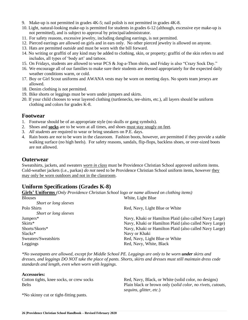- 9. Make-up is not permitted in grades 4K-5; nail polish is not permitted in grades 4K-8.
- 10. Light, natural-looking make-up is permitted for students in grades 6-12 (although, excessive eye make-up is not permitted), and is subject to approval by principal/administrator.
- 11. For safety reasons, excessive jewelry, including dangling earrings, is not permitted.
- 12. Pierced earrings are allowed on girls and in ears only. No other pierced jewelry is allowed on anyone.
- 13. Hats are permitted *outside* and must be worn with the bill forward.
- 14. No writing or graffiti of any kind may be added to clothing, skin, or property; graffiti of the skin refers to and includes, all types of 'body art' and tattoos.
- 15. On Fridays, students are allowed to wear PCS & Jog-a-Thon shirts, and Friday is also "Crazy Sock Day."
- 16. We encourage all of our families to make sure their students are dressed appropriately for the expected daily weather conditions warm, or cold.
- 17. Boy or Girl Scout uniforms and AWANA vests may be worn on meeting days. No sports team jerseys are allowed.
- 18. Denim clothing is not permitted.
- 19. Bike shorts or leggings must be worn under jumpers and skirts.
- 20. If your child chooses to wear layered clothing (turtlenecks, tee-shirts, etc.), all layers should be uniform clothing and colors for grades K-8.

#### **Footwear**

- 1. Footwear should be of an appropriate style (no skulls or gang symbols).
- 2. Shoes and **socks** are to be worn at all times, and shoes must stay snugly on feet.
- 3. *All students* are required to wear or bring sneakers on P.E. days.
- 4. Rain boots are *not* to be worn in the classroom. Fashion boots, however, are permitted if they provide a stable walking surface (no high heels). For safety reasons, sandals, flip-flops, backless shoes, or over-sized boots are not allowed.

#### **Outerwear**

Sweatshirts, jackets, and sweaters *worn in class* must be Providence Christian School approved uniform items. Cold-weather jackets (i.e., parkas) *do not* need to be Providence Christian School uniform items, however they may only be worn outdoors and not in the classroom.

#### **Uniform Specifications (Grades K-8)**

**Girls' Uniforms** *(Only Providence Christian School logo or name allowed on clothing items)* Blouses White, Light Blue

| Short or long sleeves |                                                        |
|-----------------------|--------------------------------------------------------|
| Polo Shirts           | Red, Navy, Light Blue or White                         |
| Short or long sleeves |                                                        |
| Jumpers*              | Navy, Khaki or Hamilton Plaid (also called Navy Large) |
| Skirts*               | Navy, Khaki or Hamilton Plaid (also called Navy Large) |
| Shorts/Skorts*        | Navy, Khaki or Hamilton Plaid (also called Navy Large) |
| $Slacks$ *            | Navy or Khaki                                          |
| Sweaters/Sweatshirts  | Red, Navy, Light Blue or White                         |
| Leggings              | Red, Navy, White, Black                                |

*\*No sweatpants are allowed, except for Middle School PE. Leggings are only to be worn under skirts and dresses, and leggings DO NOT take the place of pants. Shorts, skirts and dresses must still maintain dress code standards and length, even when worn with leggings*.

#### **Accessories:**

\*No skinny cut or tight-fitting pants.

Cotton tights, knee socks, or crew socks Red, Navy, Black, or White (solid color, no designs) Belts Plain black or brown only (*solid color, no rivets, cutouts, sequins, glitter, etc*.)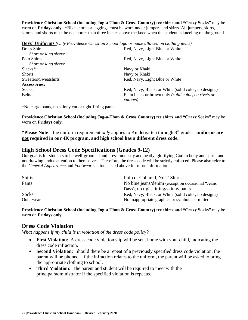**Providence Christian School (including Jog-a-Thon & Cross Country) tee shirts and "Crazy Socks"** may be worn on **Fridays only**. \*Bike shorts or leggings must be worn under jumpers and skirts. All jumpers, skirts, skorts, and shorts must be no shorter than three inches above the knee when the student is kneeling on the ground.

|                      | <b>D</b> 0 fb charactering (Only 1 To retend on Britain Benovi to No of Themic antonical on elements, hermo, |
|----------------------|--------------------------------------------------------------------------------------------------------------|
| Dress Shirts         | Red, Navy, Light Blue or White                                                                               |
| Short or long sleeve |                                                                                                              |
| Polo Shirts          | Red, Navy, Light Blue or White                                                                               |
| Short or long sleeve |                                                                                                              |
| $Slacks$ *           | Navy or Khaki                                                                                                |
| <b>Shorts</b>        | Navy or Khaki                                                                                                |
| Sweaters/Sweatshirts | Red, Navy, Light Blue or White                                                                               |
| Accessories:         |                                                                                                              |
| Socks                | Red, Navy, Black, or White (solid color, no designs)                                                         |
| <b>Belts</b>         | Plain black or brown only (solid color, no rivets or                                                         |
|                      | cutouts)                                                                                                     |

**Boys' Uniforms** *(Only Providence Christian School logo or name allowed on clothing items)*

\*No cargo pants, no skinny cut or tight-fitting pants.

**Providence Christian School (including Jog-a-Thon & Cross Country) tee shirts and "Crazy Socks"** may be worn on **Fridays only**.

**\*Please Note** – the uniform requirement *only* applies to Kindergarten through 8 th grade – **uniforms are not required in our 4K program, and high school has a different dress code.**

#### **High School Dress Code Specifications (Grades 9-12)**

Our goal is for students to be well-groomed and dress modestly and neatly, glorifying God in body and spirit, and not drawing undue attention to themselves. Therefore, the dress code will be strictly enforced. Please also refer to the *General Appearance* and *Footwear* sections listed above for more information.

| <b>Shirts</b>    | Polo or Collared, No T-Shirts                                                             |  |
|------------------|-------------------------------------------------------------------------------------------|--|
| Pants            | No blue jeans/denim (except on occasional "Jeans"<br>Days), no tight fitting/skinny pants |  |
|                  |                                                                                           |  |
| Socks            | Red, Navy, Black, or White (solid color, no designs)                                      |  |
| <b>Outerwear</b> | No inappropriate graphics or symbols permitted.                                           |  |

**Providence Christian School (including Jog-a-Thon & Cross Country) tee shirts and "Crazy Socks"** may be worn on **Fridays only**.

#### **Dress Code Violation**

*What happens if my child is in violation of the dress code policy?*

- **First Violation**: A dress code violation slip will be sent home with your child, indicating the dress code infraction.
- **Second Violation**: Should there be a repeat of a previously specified dress code violation, the parent will be phoned. If the infraction relates to the uniform, the parent will be asked to bring the appropriate clothing to school.
- **Third Violation**: The parent and student will be required to meet with the principal/administrator if the specified violation is repeated.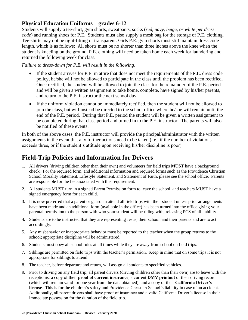#### **Physical Education Uniforms—grades 6-12**

Students will supply a tee-shirt, gym shorts, sweatpants, socks (*red, navy, beige, or white per dress code*) and running shoes for P.E. Students must also supply a mesh bag for the storage of P.E. clothing. Tee-shirts may not be tight-fitting or transparent. Girls P.E. gym shorts must still maintain dress code length, which is as follows: All shorts must be no shorter than three inches above the knee when the student is kneeling on the ground. P.E. clothing will need be taken home each week for laundering and returned the following week for class.

*Failure to dress-down for P.E. will result in the following:*

- If the student arrives for P.E. in attire that does not meet the requirements of the P.E. dress code policy, he/she will not be allowed to participate in the class until the problem has been rectified. Once rectified, the student will be allowed to join the class for the remainder of the P.E. period and will be given a written assignment to take home, complete, have signed by his/her parents, and return to the P.E. instructor the next school day.
- If the uniform violation cannot be immediately rectified, then the student will not be allowed to join the class, but will instead be directed to the school office where he/she will remain until the end of the P.E. period. During that P.E. period the student will be given a written assignment to be completed during that class period and turned in to the P.E. instructor. The parents will also be notified of these events.

In both of the above cases, the P.E. instructor will provide the principal/administrator with the written assignments in the event that any further actions need to be taken (i.e., if the number of violations exceeds three, or if the student's attitude upon receiving his/her discipline is poor).

# **Field-Trip Policies and Information for Drivers**

- 1. All drivers (driving children other than their own) and volunteers for field trips **MUST** have a background check. For the required form, and additional information and required forms such as the Providence Christian School Morality Statement, Lifestyle Statement, and Statement of Faith, please see the school office. Parents are responsible for the fee associated with this requirement.
- 2. All students MUST turn in a signed Parent Permission form to leave the school, and teachers MUST have a signed emergency form for each child.
- 3. It is now preferred that a parent or guardian attend all field trips with their student unless prior arrangements have been made and an additional form (available in the office) has been turned into the office giving your parental permission to the person with who your student will be riding with, releasing PCS of all liability.
- 4. Students are to be instructed that they are representing Jesus, their school, and their parents and are to act accordingly.
- 5. Any misbehavior or inappropriate behavior must be reported to the teacher when the group returns to the school; appropriate discipline will be administered.
- 6. Students must obey all school rules at all times while they are away from school on field trips.
- 7. Siblings are permitted on field trips with the teacher's permission. Keep in mind that on some trips it is not appropriate for siblings to attend.
- 8. The teacher, before departure and return, will assign all students to specified vehicles.
- 9. Prior to driving on any field trip, all parent drivers (driving children other than their own) are to leave with the receptionist a copy of their **proof of current insurance**, a current **DMV printout** of their driving record (which will remain valid for one year from the date obtained), and a copy of their **California Driver's license**. This is for the children's safety and Providence Christian School's liability in case of an accident. Additionally, all parent drivers shall have proof of insurance and a valid California Driver's license in their immediate possession for the duration of the field trip.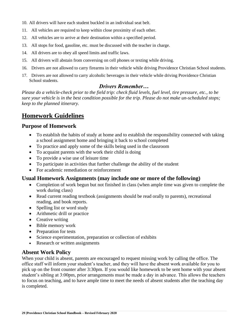- 10. All drivers will have each student buckled in an individual seat belt.
- 11. All vehicles are required to keep within close proximity of each other.
- 12. All vehicles are to arrive at their destination within a specified period.
- 13. All stops for food, gasoline, etc. must be discussed with the teacher in charge.
- 14. All drivers are to obey all speed limits and traffic laws.
- 15. All drivers will abstain from conversing on cell phones or texting while driving.
- 16. Drivers are not allowed to carry firearms in their vehicle while driving Providence Christian School students.
- 17. Drivers are not allowed to carry alcoholic beverages in their vehicle while driving Providence Christian School students.

#### *Drivers Remember…*

*Please do a vehicle-check prior to the field trip: check fluid levels, fuel level, tire pressure, etc., to be sure your vehicle is in the best condition possible for the trip. Please do not make un-scheduled stops; keep to the planned itinerary.*

# **Homework Guidelines**

#### **Purpose of Homework**

- To establish the habits of study at home and to establish the responsibility connected with taking a school assignment home and bringing it back to school completed
- To practice and apply some of the skills being used in the classroom
- To acquaint parents with the work their child is doing
- To provide a wise use of leisure time
- To participate in activities that further challenge the ability of the student
- For academic remediation or reinforcement

#### **Usual Homework Assignments (may include one or more of the following)**

- Completion of work begun but not finished in class (when ample time was given to complete the work during class)
- Read current reading textbook (assignments should be read orally to parents), recreational reading, and book reports.
- Spelling list or word study
- Arithmetic drill or practice
- Creative writing
- Bible memory work
- Preparation for tests
- Science experimentation, preparation or collection of exhibits
- Research or written assignments

#### **Absent Work Policy**

When your child is absent, parents are encouraged to request missing work by calling the office. The office staff will inform your student's teacher, and they will have the absent work available for you to pick up on the front counter after 3:30pm. If you would like homework to be sent home with your absent student's sibling at 3:00pm, prior arrangements must be made a day in advance. This allows the teachers to focus on teaching, and to have ample time to meet the needs of absent students after the teaching day is completed.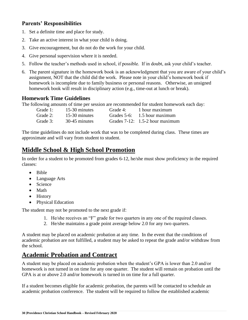#### **Parents' Responsibilities**

- 1. Set a definite time and place for study.
- 2. Take an active interest in what your child is doing.
- 3. Give encouragement, but do not do the work for your child.
- 4. Give personal supervision where it is needed.
- 5. Follow the teacher's methods used in school, if possible. If in doubt, ask your child's teacher.
- 6. The parent signature in the homework book is an acknowledgment that you are aware of your child's assignment, NOT that the child did the work. Please note in your child's homework book if homework is incomplete due to family business or personal reasons. Otherwise, an unsigned homework book will result in disciplinary action (e.g., time-out at lunch or break).

# **Homework Time Guidelines**

The following amounts of time per session are recommended for student homework each day:

| Grade 1: | 15-30 minutes | Grade 4: | 1 hour maximum                     |
|----------|---------------|----------|------------------------------------|
| Grade 2: | 15-30 minutes |          | Grades $5-6$ : 1.5 hour maximum    |
| Grade 3: | 30-45 minutes |          | Grades $7-12$ : 1.5-2 hour maximum |

The time guidelines do not include work that was to be completed during class. These times are approximate and will vary from student to student.

# **Middle School & High School Promotion**

In order for a student to be promoted from grades 6-12, he/she must show proficiency in the required classes:

- Bible
- Language Arts
- Science
- Math
- History
- Physical Education

The student may not be promoted to the next grade if:

- 1. He/she receives an "F" grade for two quarters in any one of the required classes.
- 2. He/she maintains a grade point average below 2.0 for any two quarters.

A student may be placed on academic probation at any time. In the event that the conditions of academic probation are not fulfilled, a student may be asked to repeat the grade and/or withdraw from the school.

# **Academic Probation and Contract**

A student may be placed on academic probation when the student's GPA is lower than 2.0 and/or homework is not turned in on time for any one quarter. The student will remain on probation until the GPA is at or above 2.0 and/or homework is turned in on time for a full quarter.

If a student becomes eligible for academic probation, the parents will be contacted to schedule an academic probation conference. The student will be required to follow the established academic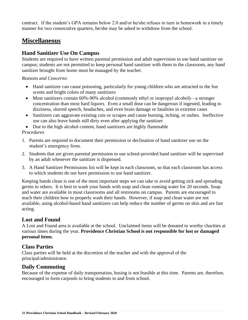contract. If the student's GPA remains below 2.0 and/or he/she refuses to turn in homework in a timely manner for two consecutive quarters, he/she may be asked to withdraw from the school.

# **Miscellaneous**

#### **Hand Sanitizer Use On Campus**

Students are required to have written parental permission and adult supervision to use hand sanitizer on campus; students are not permitted to keep personal hand sanitizer with them in the classroom, any hand sanitizer brought from home must be managed by the teacher.

*Reasons and Concerns:*

- Hand sanitizer can cause poisoning, particularly for young children who are attracted to the fun scents and bright colors of many sanitizers
- Most sanitizers contain 60%-90% alcohol (commonly ethyl or isopropyl alcohol)—a stronger concentration than most hard liquors. Even a small dose can be dangerous if ingested, leading to dizziness, slurred speech, headaches, and even brain damage or fatalities in extreme cases
- Sanitizers can aggravate existing cuts or scrapes and cause burning, itching, or rashes. Ineffective use can also leave hands still dirty even after applying the sanitizer
- Due to the high alcohol content, hand sanitizers are highly flammable

#### *Procedures*

- 1. Parents are required to document their permission or declination of hand sanitizer use on the student's emergency form.
- 2. Students that are given parental permission to use school-provided hand sanitizer will be supervised by an adult whenever the sanitizer is dispensed.
- 3. A Hand Sanitizer Permissions list will be kept in each classroom, so that each classroom has access to which students do not have permission to use hand sanitizer.

Keeping hands clean is one of the most important steps we can take to avoid getting sick and spreading germs to others. It is best to wash your hands with soap and clean running water for 20 seconds. Soap and water are available in most classrooms and all restrooms on campus. Parents are encouraged to teach their children how to properly wash their hands. However, if soap and clean water are not available, using alcohol-based hand sanitizers can help reduce the number of germs on skin and are fast acting.

#### **Lost and Found**

A Lost and Found area is available at the school. Unclaimed items will be donated to worthy charities at various times during the year. **Providence Christian School is not responsible for lost or damaged personal items**.

#### **Class Parties**

Class parties will be held at the discretion of the teacher and with the approval of the principal/administrator.

#### **Daily Commuting**

Because of the expense of daily transportation, busing is not feasible at this time. Parents are, therefore, encouraged to form carpools to bring students to and from school.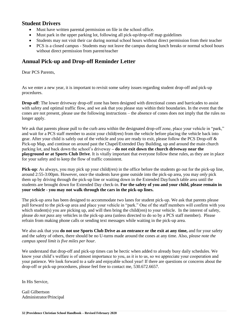#### **Student Drivers**

- Must have written parental permission on file in the school office.
- Must park in the upper parking lot, following all pick-up/drop-off map guidelines
- Students may not visit their car during normal school hours without direct permission from their teacher
- PCS is a closed campus Students may not leave the campus during lunch breaks or normal school hours without direct permission from parent/teacher

#### **Annual Pick-up and Drop-off Reminder Letter**

Dear PCS Parents,

As we enter a new year, it is important to revisit some safety issues regarding student drop-off and pick-up procedures.

**Drop-off:** The lower driveway drop-off zone has been designed with directional cones and barricades to assist with safety and optimal traffic flow, and we ask that you please stay within their boundaries. In the event that the cones are not present, please use the following instructions – the absence of cones does not imply that the rules no longer apply.

We ask that parents please pull to the curb area within the designated drop-off zone, place your vehicle in "park," and wait for a PCS staff member to assist your child(ren) from the vehicle before placing the vehicle back into gear. After your child is safely out of the vehicle and you are ready to exit, please follow the PCS Drop-off & Pick-up Map, and continue on around past the Chapel/Extended Day Building, up and around the main church parking lot, and back down the school's driveway **– do not exit down the church driveway near the playground or at Sports Club Drive**. It is vitally important that everyone follow these rules, as they are in place for your safety and to keep the flow of traffic consistent.

**Pick-up**: As always, you may pick up your child(ren) in the office before the students go out for the pick-up line, around 2:55-3:00pm. However, once the students have gone outside into the pick-up area, you may *only* pick them up by driving through the pick-up line or waiting down in the Extended Day/lunch table area until the students are brought down for Extended Day check-in. **For the safety of you and your child, please remain in your vehicle - you may not walk through the cars in the pick-up lines.** 

The pick-up area has been designed to accommodate two lanes for student pick-up. We ask that parents please pull forward to the pick-up area and place your vehicle in "park." One of the staff members will confirm with you which student(s) you are picking up, and will then bring the child(ren) to your vehicle. In the interest of safety, please *do not pass* any vehicles in the pick-up area (unless directed to do so by a PCS staff member). Please refrain from making phone calls or sending text messages while waiting in the pick-up area.

We also ask that you **do not use Sports Club Drive as an entrance or the exit at any time,** and for your safety and the safety of others, there should be no U-turns made around the cones at any time. Also, p*lease note the campus speed limit is five miles per hour.*

We understand that drop-off and pick-up times can be hectic when added to already busy daily schedules. We know your child's welfare is of utmost importance to you, as it is to us, so we appreciate your cooperation and your patience. We look forward to a safe and enjoyable school year! If there are questions or concerns about the drop-off or pick-up procedures, please feel free to contact me, 530.672.6657.

In His Service,

Gail Gilbertson Administrator/Principal